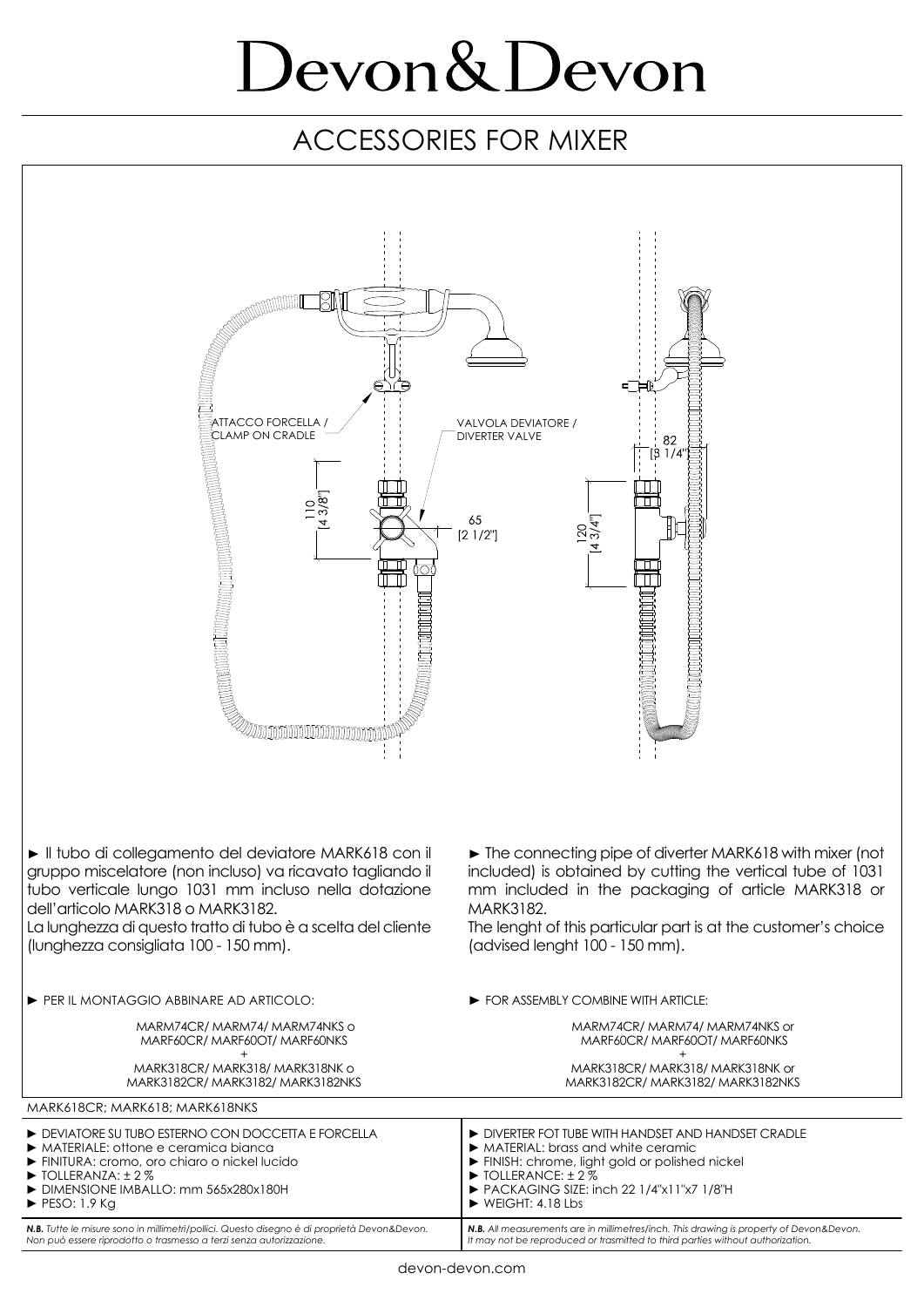# Devon&Devon

### ACCESSORIES FOR MIXER

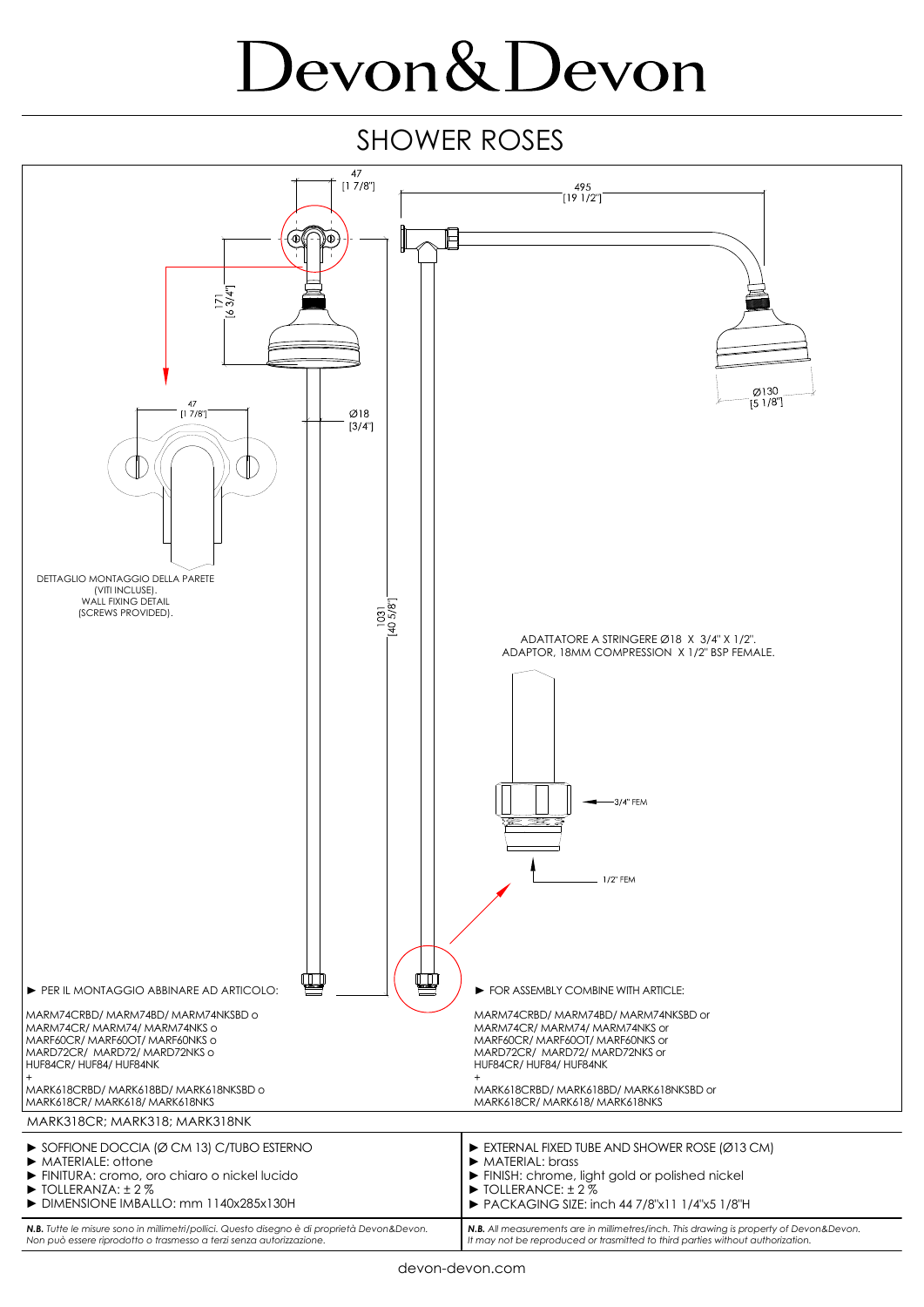# Devon&Devon

#### SHOWER ROSES